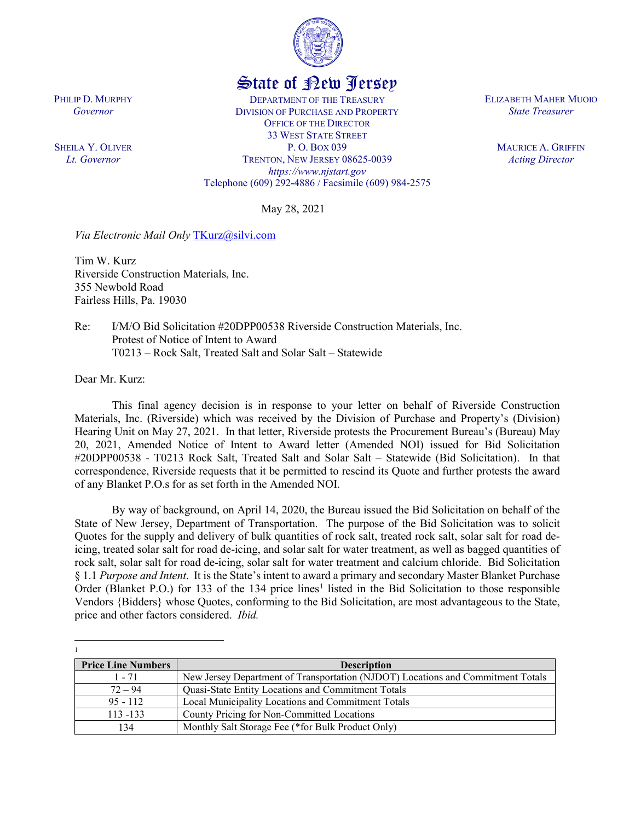

## State of New Jersey

DEPARTMENT OF THE TREASURY DIVISION OF PURCHASE AND PROPERTY OFFICE OF THE DIRECTOR 33 WEST STATE STREET P. O. BOX 039 TRENTON, NEW JERSEY 08625-0039 *https://www.njstart.gov* Telephone (609) 292-4886 / Facsimile (609) 984-2575

May 28, 2021

*Via Electronic Mail Only* [TKurz@silvi.com](mailto:TKurz@silvi.com)

Tim W. Kurz Riverside Construction Materials, Inc. 355 Newbold Road Fairless Hills, Pa. 19030

Re: I/M/O Bid Solicitation #20DPP00538 Riverside Construction Materials, Inc. Protest of Notice of Intent to Award T0213 – Rock Salt, Treated Salt and Solar Salt – Statewide

Dear Mr. Kurz:

l

This final agency decision is in response to your letter on behalf of Riverside Construction Materials, Inc. (Riverside) which was received by the Division of Purchase and Property's (Division) Hearing Unit on May 27, 2021. In that letter, Riverside protests the Procurement Bureau's (Bureau) May 20, 2021, Amended Notice of Intent to Award letter (Amended NOI) issued for Bid Solicitation #20DPP00538 - T0213 Rock Salt, Treated Salt and Solar Salt – Statewide (Bid Solicitation). In that correspondence, Riverside requests that it be permitted to rescind its Quote and further protests the award of any Blanket P.O.s for as set forth in the Amended NOI.

By way of background, on April 14, 2020, the Bureau issued the Bid Solicitation on behalf of the State of New Jersey, Department of Transportation. The purpose of the Bid Solicitation was to solicit Quotes for the supply and delivery of bulk quantities of rock salt, treated rock salt, solar salt for road deicing, treated solar salt for road de-icing, and solar salt for water treatment, as well as bagged quantities of rock salt, solar salt for road de-icing, solar salt for water treatment and calcium chloride. Bid Solicitation § 1.1 *Purpose and Intent*. It is the State's intent to award a primary and secondary Master Blanket Purchase Order (Blanket P.O.) for [1](#page-0-0)33 of the 134 price lines<sup>1</sup> listed in the Bid Solicitation to those responsible Vendors {Bidders} whose Quotes, conforming to the Bid Solicitation, are most advantageous to the State, price and other factors considered. *Ibid.*

<span id="page-0-0"></span>

| <b>Price Line Numbers</b> | <b>Description</b>                                                              |
|---------------------------|---------------------------------------------------------------------------------|
| $1 - 71$                  | New Jersey Department of Transportation (NJDOT) Locations and Commitment Totals |
| $72 - 94$                 | Quasi-State Entity Locations and Commitment Totals                              |
| $95 - 112$                | Local Municipality Locations and Commitment Totals                              |
| $113 - 133$               | County Pricing for Non-Committed Locations                                      |
| 134                       | Monthly Salt Storage Fee (*for Bulk Product Only)                               |

ELIZABETH MAHER MUOIO *State Treasurer*

> MAURICE A. GRIFFIN *Acting Director*

PHILIP D. MURPHY *Governor*

SHEILA Y. OLIVER *Lt. Governor*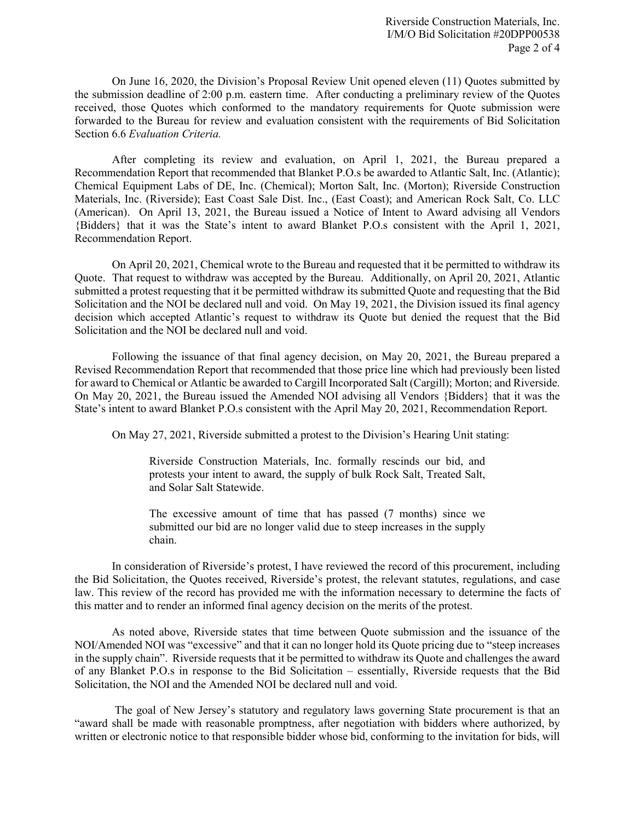On June 16, 2020, the Division's Proposal Review Unit opened eleven (11) Quotes submitted by the submission deadline of 2:00 p.m. eastern time. After conducting a preliminary review of the Quotes received, those Quotes which conformed to the mandatory requirements for Quote submission were forwarded to the Bureau for review and evaluation consistent with the requirements of Bid Solicitation Section 6.6 *Evaluation Criteria.*

After completing its review and evaluation, on April 1, 2021, the Bureau prepared a Recommendation Report that recommended that Blanket P.O.s be awarded to Atlantic Salt, Inc. (Atlantic); Chemical Equipment Labs of DE, Inc. (Chemical); Morton Salt, Inc. (Morton); Riverside Construction Materials, Inc. (Riverside); East Coast Sale Dist. Inc., (East Coast); and American Rock Salt, Co. LLC (American). On April 13, 2021, the Bureau issued a Notice of Intent to Award advising all Vendors {Bidders} that it was the State's intent to award Blanket P.O.s consistent with the April 1, 2021, Recommendation Report.

On April 20, 2021, Chemical wrote to the Bureau and requested that it be permitted to withdraw its Quote. That request to withdraw was accepted by the Bureau. Additionally, on April 20, 2021, Atlantic submitted a protest requesting that it be permitted withdraw its submitted Quote and requesting that the Bid Solicitation and the NOI be declared null and void. On May 19, 2021, the Division issued its final agency decision which accepted Atlantic's request to withdraw its Quote but denied the request that the Bid Solicitation and the NOI be declared null and void.

Following the issuance of that final agency decision, on May 20, 2021, the Bureau prepared a Revised Recommendation Report that recommended that those price line which had previously been listed for award to Chemical or Atlantic be awarded to Cargill Incorporated Salt (Cargill); Morton; and Riverside. On May 20, 2021, the Bureau issued the Amended NOI advising all Vendors {Bidders} that it was the State's intent to award Blanket P.O.s consistent with the April May 20, 2021, Recommendation Report.

On May 27, 2021, Riverside submitted a protest to the Division's Hearing Unit stating:

Riverside Construction Materials, Inc. formally rescinds our bid, and protests your intent to award, the supply of bulk Rock Salt, Treated Salt, and Solar Salt Statewide.

The excessive amount of time that has passed (7 months) since we submitted our bid are no longer valid due to steep increases in the supply chain.

In consideration of Riverside's protest, I have reviewed the record of this procurement, including the Bid Solicitation, the Quotes received, Riverside's protest, the relevant statutes, regulations, and case law. This review of the record has provided me with the information necessary to determine the facts of this matter and to render an informed final agency decision on the merits of the protest.

As noted above, Riverside states that time between Quote submission and the issuance of the NOI/Amended NOI was "excessive" and that it can no longer hold its Quote pricing due to "steep increases in the supply chain". Riverside requests that it be permitted to withdraw its Quote and challenges the award of any Blanket P.O.s in response to the Bid Solicitation – essentially, Riverside requests that the Bid Solicitation, the NOI and the Amended NOI be declared null and void.

The goal of New Jersey's statutory and regulatory laws governing State procurement is that an "award shall be made with reasonable promptness, after negotiation with bidders where authorized, by written or electronic notice to that responsible bidder whose bid, conforming to the invitation for bids, will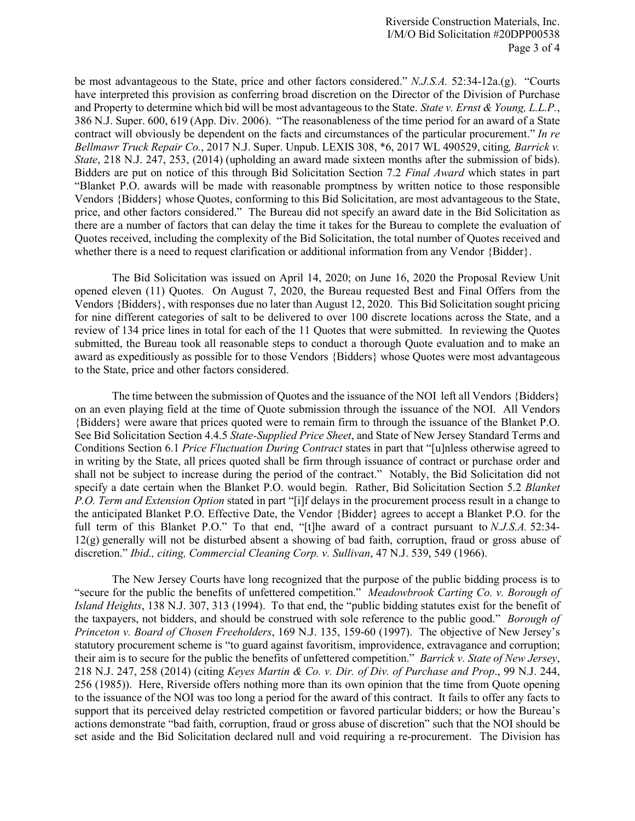be most advantageous to the State, price and other factors considered." *N.J.S.A.* 52:34-12a.(g). "Courts have interpreted this provision as conferring broad discretion on the Director of the Division of Purchase and Property to determine which bid will be most advantageous to the State. *State v. Ernst & Young, L.L.P.*, 386 N.J. Super. 600, 619 (App. Div. 2006). "The reasonableness of the time period for an award of a State contract will obviously be dependent on the facts and circumstances of the particular procurement." *In re Bellmawr Truck Repair Co.*, 2017 N.J. Super. Unpub. LEXIS 308, \*6, 2017 WL 490529, citing*, Barrick v. State*, 218 N.J. 247, 253, (2014) (upholding an award made sixteen months after the submission of bids). Bidders are put on notice of this through Bid Solicitation Section 7.2 *Final Award* which states in part "Blanket P.O. awards will be made with reasonable promptness by written notice to those responsible Vendors {Bidders} whose Quotes, conforming to this Bid Solicitation, are most advantageous to the State, price, and other factors considered." The Bureau did not specify an award date in the Bid Solicitation as there are a number of factors that can delay the time it takes for the Bureau to complete the evaluation of Quotes received, including the complexity of the Bid Solicitation, the total number of Quotes received and whether there is a need to request clarification or additional information from any Vendor {Bidder}.

The Bid Solicitation was issued on April 14, 2020; on June 16, 2020 the Proposal Review Unit opened eleven (11) Quotes. On August 7, 2020, the Bureau requested Best and Final Offers from the Vendors {Bidders}, with responses due no later than August 12, 2020. This Bid Solicitation sought pricing for nine different categories of salt to be delivered to over 100 discrete locations across the State, and a review of 134 price lines in total for each of the 11 Quotes that were submitted. In reviewing the Quotes submitted, the Bureau took all reasonable steps to conduct a thorough Quote evaluation and to make an award as expeditiously as possible for to those Vendors {Bidders} whose Quotes were most advantageous to the State, price and other factors considered.

The time between the submission of Quotes and the issuance of the NOI left all Vendors {Bidders} on an even playing field at the time of Quote submission through the issuance of the NOI. All Vendors {Bidders} were aware that prices quoted were to remain firm to through the issuance of the Blanket P.O. See Bid Solicitation Section 4.4.5 *State-Supplied Price Sheet*, and State of New Jersey Standard Terms and Conditions Section 6.1 *Price Fluctuation During Contract* states in part that "[u]nless otherwise agreed to in writing by the State, all prices quoted shall be firm through issuance of contract or purchase order and shall not be subject to increase during the period of the contract." Notably, the Bid Solicitation did not specify a date certain when the Blanket P.O. would begin. Rather, Bid Solicitation Section 5.2 *Blanket P.O. Term and Extension Option* stated in part "[i]f delays in the procurement process result in a change to the anticipated Blanket P.O. Effective Date, the Vendor {Bidder} agrees to accept a Blanket P.O. for the full term of this Blanket P.O." To that end, "[t]he award of a contract pursuant to *N.J.S.A.* 52:34-  $12(g)$  generally will not be disturbed absent a showing of bad faith, corruption, fraud or gross abuse of discretion." *Ibid., citing, Commercial Cleaning Corp. v. Sullivan*, 47 N.J. 539, 549 (1966).

The New Jersey Courts have long recognized that the purpose of the public bidding process is to "secure for the public the benefits of unfettered competition." *Meadowbrook Carting Co. v. Borough of Island Heights*, 138 N.J. 307, 313 (1994). To that end, the "public bidding statutes exist for the benefit of the taxpayers, not bidders, and should be construed with sole reference to the public good." *Borough of Princeton v. Board of Chosen Freeholders*, 169 N.J. 135, 159-60 (1997). The objective of New Jersey's statutory procurement scheme is "to guard against favoritism, improvidence, extravagance and corruption; their aim is to secure for the public the benefits of unfettered competition." *Barrick v. State of New Jersey*, 218 N.J. 247, 258 (2014) (citing *Keyes Martin & Co. v. Dir. of Div. of Purchase and Prop*., 99 N.J. 244, 256 (1985)). Here, Riverside offers nothing more than its own opinion that the time from Quote opening to the issuance of the NOI was too long a period for the award of this contract. It fails to offer any facts to support that its perceived delay restricted competition or favored particular bidders; or how the Bureau's actions demonstrate "bad faith, corruption, fraud or gross abuse of discretion" such that the NOI should be set aside and the Bid Solicitation declared null and void requiring a re-procurement. The Division has